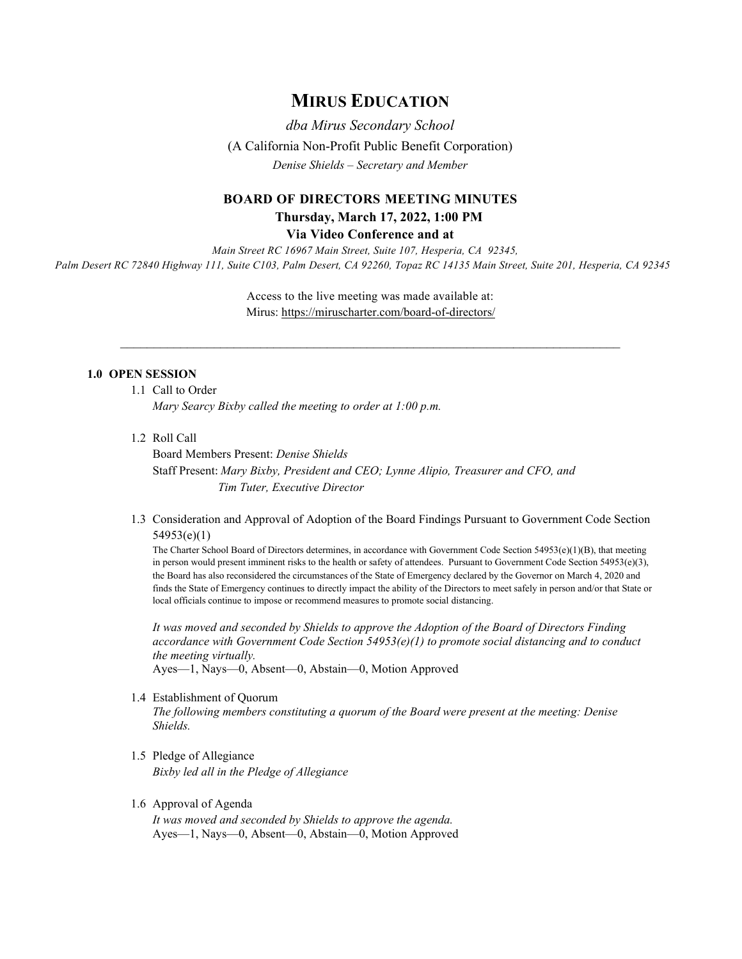# **MIRUS EDUCATION**

*dba Mirus Secondary School*  (A California Non-Profit Public Benefit Corporation) *Denise Shields – Secretary and Member*

# **BOARD OF DIRECTORS MEETING MINUTES Thursday, March 17, 2022, 1:00 PM**

**Via Video Conference and at**

*Main Street RC 16967 Main Street, Suite 107, Hesperia, CA 92345, Palm Desert RC 72840 Highway 111, Suite C103, Palm Desert, CA 92260, Topaz RC 14135 Main Street, Suite 201, Hesperia, CA 92345* 

> Access to the live meeting was made available at: Mirus:<https://miruscharter.com/board-of-directors/>

 $\_$  , and the contribution of the contribution of the contribution of the contribution of  $\mathcal{L}_\text{max}$ 

## **1.0 OPEN SESSION**

- 1.1 Call to Order *Mary Searcy Bixby called the meeting to order at 1:00 p.m.*
- 1.2 Roll Call

Board Members Present: *Denise Shields*  Staff Present: *Mary Bixby, President and CEO; Lynne Alipio, Treasurer and CFO, and Tim Tuter, Executive Director*

1.3 Consideration and Approval of Adoption of the Board Findings Pursuant to Government Code Section 54953(e)(1)

The Charter School Board of Directors determines, in accordance with Government Code Section 54953(e)(1)(B), that meeting in person would present imminent risks to the health or safety of attendees. Pursuant to Government Code Section 54953(e)(3), the Board has also reconsidered the circumstances of the State of Emergency declared by the Governor on March 4, 2020 and finds the State of Emergency continues to directly impact the ability of the Directors to meet safely in person and/or that State or local officials continue to impose or recommend measures to promote social distancing.

*It was moved and seconded by Shields to approve the Adoption of the Board of Directors Finding accordance with Government Code Section 54953(e)(1) to promote social distancing and to conduct the meeting virtually.* 

Ayes—1, Nays—0, Absent—0, Abstain—0, Motion Approved

1.4 Establishment of Quorum

*The following members constituting a quorum of the Board were present at the meeting: Denise Shields.* 

- 1.5 Pledge of Allegiance *Bixby led all in the Pledge of Allegiance*
- 1.6 Approval of Agenda

*It was moved and seconded by Shields to approve the agenda.*  Ayes—1, Nays—0, Absent—0, Abstain—0, Motion Approved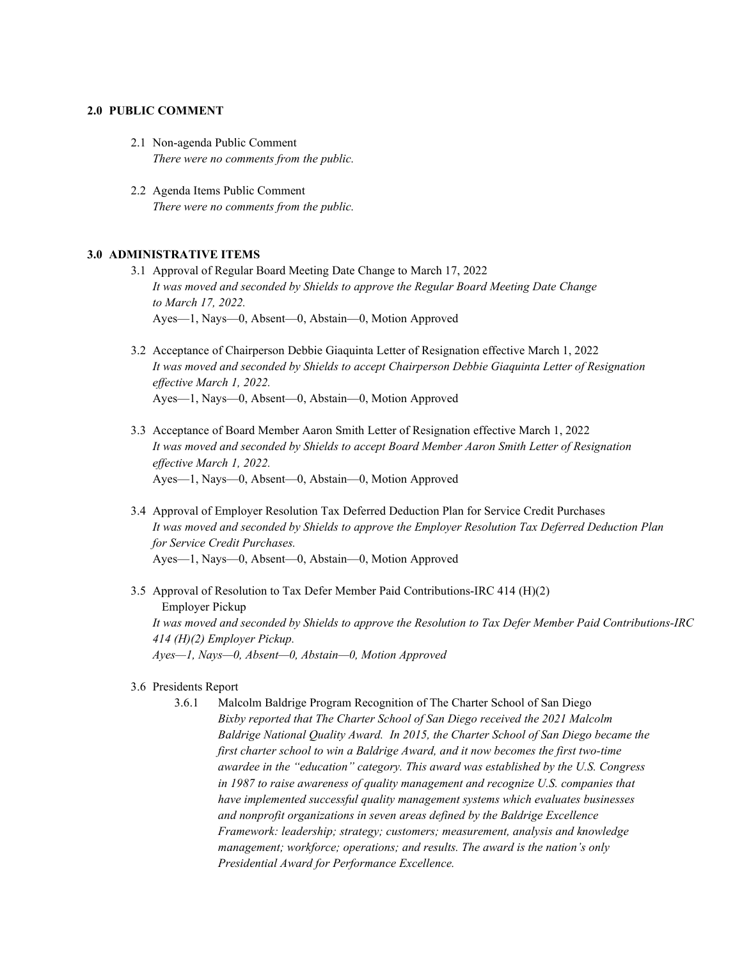#### **2.0 PUBLIC COMMENT**

- 2.1 Non-agenda Public Comment *There were no comments from the public.*
- 2.2 Agenda Items Public Comment *There were no comments from the public.*

# **3.0 ADMINISTRATIVE ITEMS**

- 3.1 Approval of Regular Board Meeting Date Change to March 17, 2022 *It was moved and seconded by Shields to approve the Regular Board Meeting Date Change to March 17, 2022.*  Ayes—1, Nays—0, Absent—0, Abstain—0, Motion Approved
- 3.2 Acceptance of Chairperson Debbie Giaquinta Letter of Resignation effective March 1, 2022 *It was moved and seconded by Shields to accept Chairperson Debbie Giaquinta Letter of Resignation effective March 1, 2022.*  Ayes—1, Nays—0, Absent—0, Abstain—0, Motion Approved
- 3.3 Acceptance of Board Member Aaron Smith Letter of Resignation effective March 1, 2022 *It was moved and seconded by Shields to accept Board Member Aaron Smith Letter of Resignation effective March 1, 2022.*  Ayes—1, Nays—0, Absent—0, Abstain—0, Motion Approved
- 3.4 Approval of Employer Resolution Tax Deferred Deduction Plan for Service Credit Purchases *It was moved and seconded by Shields to approve the Employer Resolution Tax Deferred Deduction Plan for Service Credit Purchases.*  Ayes—1, Nays—0, Absent—0, Abstain—0, Motion Approved
- 3.5 Approval of Resolution to Tax Defer Member Paid Contributions-IRC 414 (H)(2) Employer Pickup *It was moved and seconded by Shields to approve the Resolution to Tax Defer Member Paid Contributions-IRC 414 (H)(2) Employer Pickup. Ayes—1, Nays—0, Absent—0, Abstain—0, Motion Approved*

#### 3.6 Presidents Report

3.6.1 Malcolm Baldrige Program Recognition of The Charter School of San Diego *Bixby reported that The Charter School of San Diego received the 2021 Malcolm Baldrige National Quality Award. In [2015,](https://www.nist.gov/baldrige/charter-school-san-diego) the Charter School of San Diego became the first charter school to win a Baldrige Award, and it now becomes the first two-time awardee in the "education" category. This award was established by the U.S. Congress in 1987 to raise awareness of quality management and recognize U.S. companies that have implemented successful [quality management systems](https://asq.org/quality-resources/quality-management-system) which evaluates businesses and nonprofit organizations in seven areas defined by the [Baldrige Excellence](https://www.nist.gov/baldrige/publications/baldrige-excellence-framework)  [Framework:](https://www.nist.gov/baldrige/publications/baldrige-excellence-framework) leadership; strategy; customers; measurement, analysis and knowledge management; workforce; operations; and results. The award is the nation's only Presidential Award for Performance Excellence.*